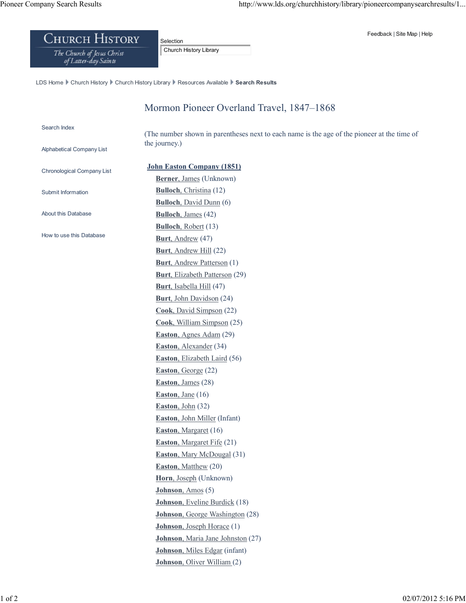## Feedback | Site Map | Help

## **CHURCH HISTORY**

The Church of Jesus Christ<br>of Latter-day Saints

Selection Church History Library

LDS Home Church History Church History Library Resources Available Search Results

## Mormon Pioneer Overland Travel, 1847–1868

## Search Index

Alphabetical Company List

(The number shown in parentheses next to each name is the age of the pioneer at the time of the journey.)

| Chronological Company List | <b>John Easton Company (1851)</b>       |
|----------------------------|-----------------------------------------|
|                            | Berner, James (Unknown)                 |
| Submit Information         | <b>Bulloch, Christina (12)</b>          |
|                            | <b>Bulloch</b> , David Dunn (6)         |
| About this Database        | <b>Bulloch</b> , James (42)             |
| How to use this Database   | <b>Bulloch</b> , Robert (13)            |
|                            | <b>Burt</b> , Andrew (47)               |
|                            | <b>Burt</b> , Andrew Hill (22)          |
|                            | <b>Burt, Andrew Patterson (1)</b>       |
|                            | <b>Burt</b> , Elizabeth Patterson (29)  |
|                            | <b>Burt</b> , Isabella Hill (47)        |
|                            | Burt, John Davidson (24)                |
|                            | Cook, David Simpson (22)                |
|                            | Cook, William Simpson (25)              |
|                            | Easton, Agnes Adam (29)                 |
|                            | <b>Easton</b> , Alexander (34)          |
|                            | Easton, Elizabeth Laird (56)            |
|                            | Easton, George (22)                     |
|                            | Easton, James $(28)$                    |
|                            | Easton, Jane $(16)$                     |
|                            | Easton, John $(32)$                     |
|                            | <b>Easton</b> , John Miller (Infant)    |
|                            | <b>Easton, Margaret (16)</b>            |
|                            | <b>Easton, Margaret Fife (21)</b>       |
|                            | <b>Easton</b> , Mary McDougal (31)      |
|                            | <b>Easton, Matthew (20)</b>             |
|                            | Horn, Joseph (Unknown)                  |
|                            | Johnson, Amos (5)                       |
|                            | <b>Johnson</b> , Eveline Burdick (18)   |
|                            | <b>Johnson</b> , George Washington (28) |
|                            | <b>Johnson</b> , Joseph Horace (1)      |
|                            | Johnson, Maria Jane Johnston (27)       |
|                            | <b>Johnson</b> , Miles Edgar (infant)   |
|                            | <b>Johnson</b> , Oliver William (2)     |